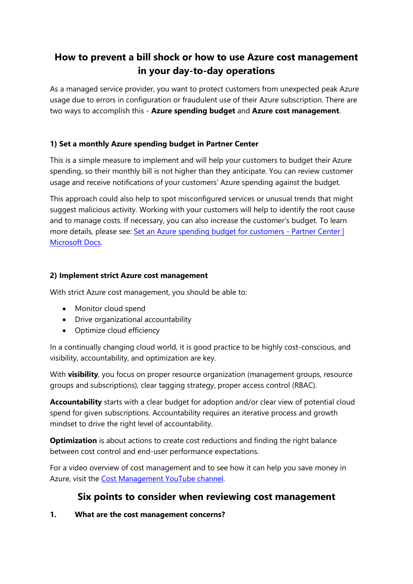# **How to prevent a bill shock or how to use Azure cost management in your day-to-day operations**

As a managed service provider, you want to protect customers from unexpected peak Azure usage due to errors in configuration or fraudulent use of their Azure subscription. There are two ways to accomplish this - **Azure spending budget** and **Azure cost management**.

#### **1) Set a monthly Azure spending budget in Partner Center**

This is a simple measure to implement and will help your customers to budget their Azure spending, so their monthly bill is not higher than they anticipate. You can review customer usage and receive notifications of your customers' Azure spending against the budget.

This approach could also help to spot misconfigured services or unusual trends that might suggest malicious activity. Working with your customers will help to identify the root cause and to manage costs. If necessary, you can also increase the customer's budget. To learn more details, please see: [Set an Azure spending budget for customers -](https://docs.microsoft.com/en-us/partner-center/set-an-azure-spending-budget-for-your-customers#:~:text=%20You%20can%20track%20your%20customers%27%20current%20Azure,can%20see%20an%20overview%20of%20customers%27...%20See%20More.) Partner Center | [Microsoft Docs.](https://docs.microsoft.com/en-us/partner-center/set-an-azure-spending-budget-for-your-customers#:~:text=%20You%20can%20track%20your%20customers%27%20current%20Azure,can%20see%20an%20overview%20of%20customers%27...%20See%20More.)

#### **2) Implement strict Azure cost management**

With strict Azure cost management, you should be able to:

- Monitor cloud spend
- Drive organizational accountability
- Optimize cloud efficiency

In a continually changing cloud world, it is good practice to be highly cost-conscious, and visibility, accountability, and optimization are key.

With **visibility**, you focus on proper resource organization (management groups, resource groups and subscriptions), clear tagging strategy, proper access control (RBAC).

**Accountability** starts with a clear budget for adoption and/or clear view of potential cloud spend for given subscriptions. Accountability requires an iterative process and growth mindset to drive the right level of accountability.

**Optimization** is about actions to create cost reductions and finding the right balance between cost control and end-user performance expectations.

For a video overview of cost management and to see how it can help you save money in Azure, visit the [Cost Management YouTube channel.](https://www.youtube.com/c/AzureCostManagement)

# **Six points to consider when reviewing cost management**

**1. What are the cost management concerns?**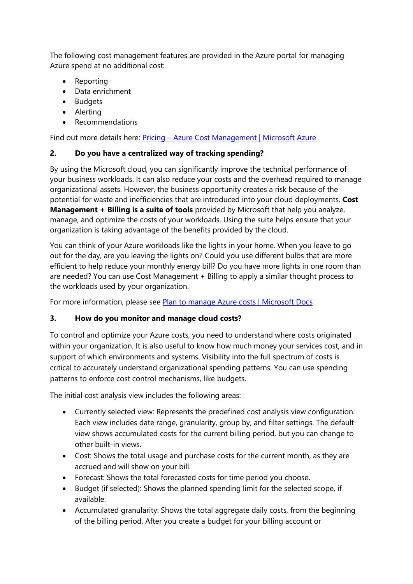The following cost management features are provided in the Azure portal for managing Azure spend at no additional cost:

- Reporting
- Data enrichment
- Budgets
- Alerting
- Recommendations

Find out more details here: Pricing – Azure Cost Management | Microsoft Azure

#### **2. Do you have a centralized way of tracking spending?**

By using the Microsoft cloud, you can significantly improve the technical performance of your business workloads. It can also reduce your costs and the overhead required to manage organizational assets. However, the business opportunity creates a risk because of the potential for waste and inefficiencies that are introduced into your cloud deployments. **Cost Management + Billing is a suite of tools** provided by Microsoft that help you analyze, manage, and optimize the costs of your workloads. Using the suite helps ensure that your organization is taking advantage of the benefits provided by the cloud.

You can think of your Azure workloads like the lights in your home. When you leave to go out for the day, are you leaving the lights on? Could you use different bulbs that are more efficient to help reduce your monthly energy bill? Do you have more lights in one room than are needed? You can use Cost Management + Billing to apply a similar thought process to the workloads used by your organization.

For more information, please see Plan to manage Azure costs | Microsoft Docs

## **3. How do you monitor and manage cloud costs?**

To control and optimize your Azure costs, you need to understand where costs originated within your organization. It is also useful to know how much money your services cost, and in support of which environments and systems. Visibility into the full spectrum of costs is critical to accurately understand organizational spending patterns. You can use spending patterns to enforce cost control mechanisms, like budgets.

The initial cost analysis view includes the following areas:

- Currently selected view: Represents the predefined cost analysis view configuration. Each view includes date range, granularity, group by, and filter settings. The default view shows accumulated costs for the current billing period, but you can change to other built-in views.
- Cost: Shows the total usage and purchase costs for the current month, as they are accrued and will show on your bill.
- Forecast: Shows the total forecasted costs for time period you choose.
- Budget (if selected): Shows the planned spending limit for the selected scope, if available.
- Accumulated granularity: Shows the total aggregate daily costs, from the beginning of the billing period. After you create a budget for your billing account or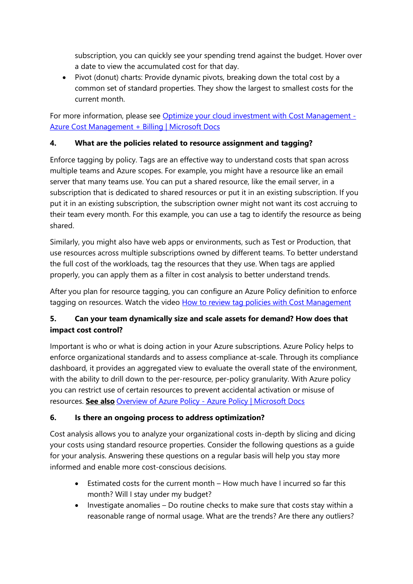subscription, you can quickly see your spending trend against the budget. Hover over a date to view the accumulated cost for that day.

• Pivot (donut) charts: Provide dynamic pivots, breaking down the total cost by a common set of standard properties. They show the largest to smallest costs for the current month.

For more information, please see Optimize your cloud investment with Cost Management -Azure Cost Management + Billing | Microsoft Docs

## **4. What are the policies related to resource assignment and tagging?**

Enforce tagging by policy. Tags are an effective way to understand costs that span across multiple teams and Azure scopes. For example, you might have a resource like an email server that many teams use. You can put a shared resource, like the email server, in a subscription that is dedicated to shared resources or put it in an existing subscription. If you put it in an existing subscription, the subscription owner might not want its cost accruing to their team every month. For this example, you can use a tag to identify the resource as being shared.

Similarly, you might also have web apps or environments, such as Test or Production, that use resources across multiple subscriptions owned by different teams. To better understand the full cost of the workloads, tag the resources that they use. When tags are applied properly, you can apply them as a filter in cost analysis to better understand trends.

After you plan for resource tagging, you can configure an Azure Policy definition to enforce tagging on resources. Watch the video How to review tag policies with Cost Management

## **5. Can your team dynamically size and scale assets for demand? How does that impact cost control?**

Important is who or what is doing action in your Azure subscriptions. Azure Policy helps to enforce organizational standards and to assess compliance at-scale. Through its compliance dashboard, it provides an aggregated view to evaluate the overall state of the environment, with the ability to drill down to the per-resource, per-policy granularity. With Azure policy you can restrict use of certain resources to prevent accidental activation or misuse of resources. **See also** Overview of Azure Policy - Azure Policy | Microsoft Docs

## **6. Is there an ongoing process to address optimization?**

Cost analysis allows you to analyze your organizational costs in-depth by slicing and dicing your costs using standard resource properties. Consider the following questions as a guide for your analysis. Answering these questions on a regular basis will help you stay more informed and enable more cost-conscious decisions.

- Estimated costs for the current month How much have I incurred so far this month? Will I stay under my budget?
- Investigate anomalies Do routine checks to make sure that costs stay within a reasonable range of normal usage. What are the trends? Are there any outliers?